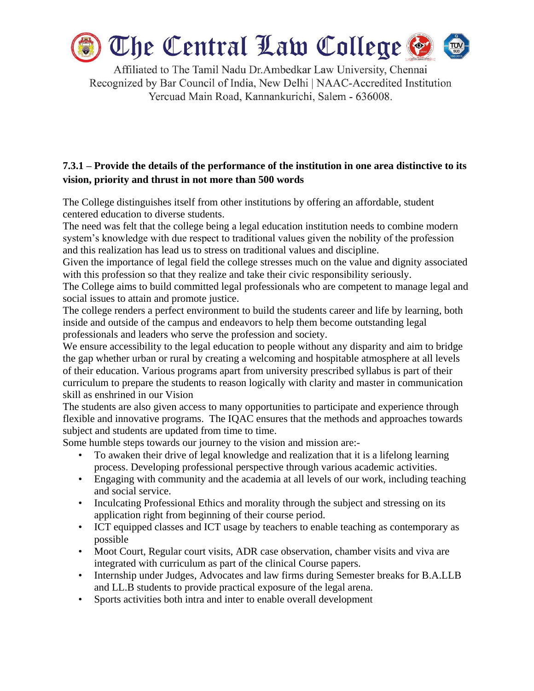

Affiliated to The Tamil Nadu Dr. Ambedkar Law University, Chennai Recognized by Bar Council of India, New Delhi | NAAC-Accredited Institution Yercuad Main Road, Kannankurichi, Salem - 636008.

## **7.3.1 – Provide the details of the performance of the institution in one area distinctive to its vision, priority and thrust in not more than 500 words**

The College distinguishes itself from other institutions by offering an affordable, student centered education to diverse students.

The need was felt that the college being a legal education institution needs to combine modern system's knowledge with due respect to traditional values given the nobility of the profession and this realization has lead us to stress on traditional values and discipline.

Given the importance of legal field the college stresses much on the value and dignity associated with this profession so that they realize and take their civic responsibility seriously.

The College aims to build committed legal professionals who are competent to manage legal and social issues to attain and promote justice.

The college renders a perfect environment to build the students career and life by learning, both inside and outside of the campus and endeavors to help them become outstanding legal professionals and leaders who serve the profession and society.

We ensure accessibility to the legal education to people without any disparity and aim to bridge the gap whether urban or rural by creating a welcoming and hospitable atmosphere at all levels of their education. Various programs apart from university prescribed syllabus is part of their curriculum to prepare the students to reason logically with clarity and master in communication skill as enshrined in our Vision

The students are also given access to many opportunities to participate and experience through flexible and innovative programs. The IQAC ensures that the methods and approaches towards subject and students are updated from time to time.

Some humble steps towards our journey to the vision and mission are:-

- To awaken their drive of legal knowledge and realization that it is a lifelong learning process. Developing professional perspective through various academic activities.
- Engaging with community and the academia at all levels of our work, including teaching and social service.
- Inculcating Professional Ethics and morality through the subject and stressing on its application right from beginning of their course period.
- ICT equipped classes and ICT usage by teachers to enable teaching as contemporary as possible
- Moot Court, Regular court visits, ADR case observation, chamber visits and viva are integrated with curriculum as part of the clinical Course papers.
- Internship under Judges, Advocates and law firms during Semester breaks for B.A.LLB and LL.B students to provide practical exposure of the legal arena.
- Sports activities both intra and inter to enable overall development